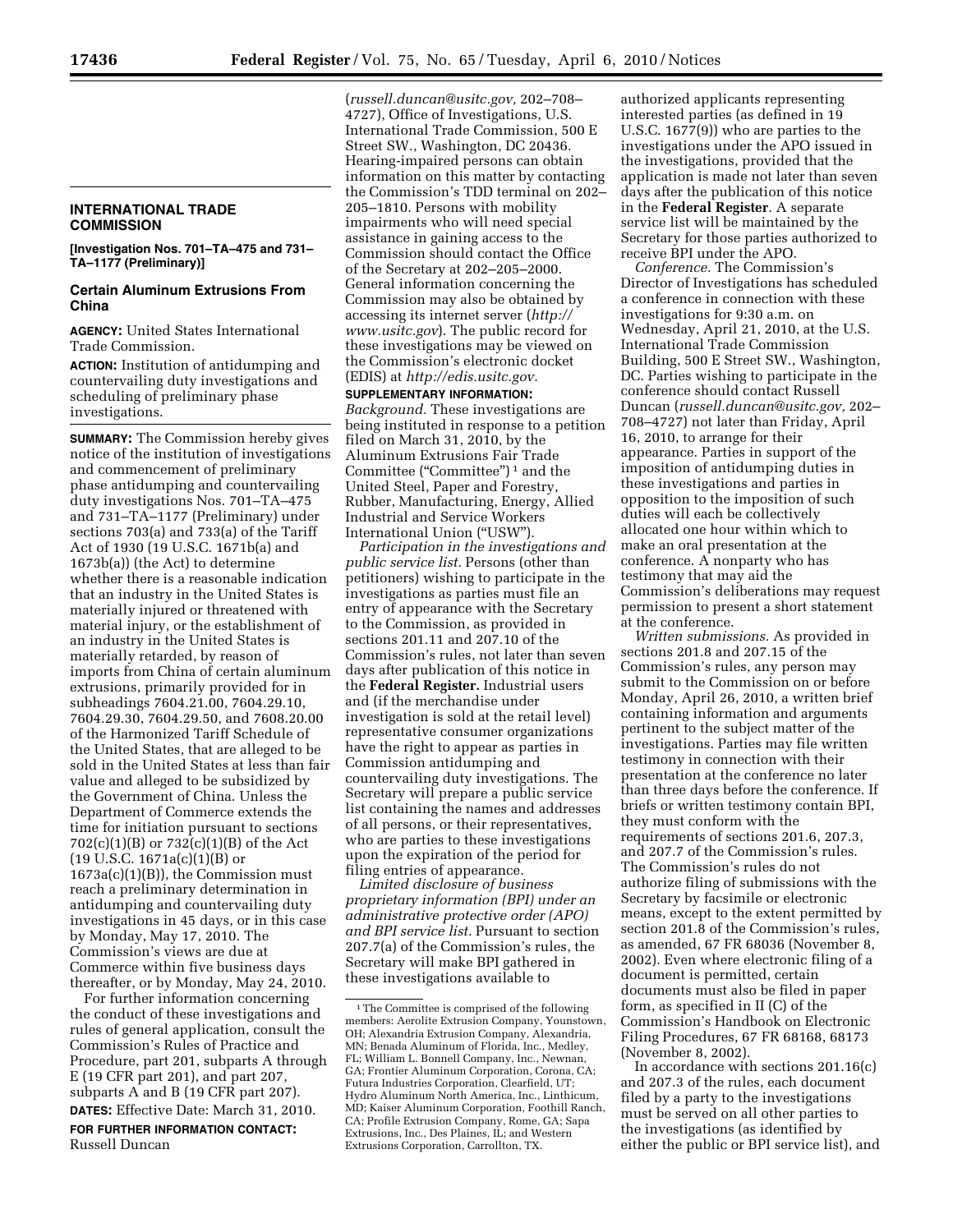## **INTERNATIONAL TRADE COMMISSION**

**[Investigation Nos. 701–TA–475 and 731– TA–1177 (Preliminary)]** 

## **Certain Aluminum Extrusions From China**

**AGENCY:** United States International Trade Commission.

**ACTION:** Institution of antidumping and countervailing duty investigations and scheduling of preliminary phase investigations.

**SUMMARY:** The Commission hereby gives notice of the institution of investigations and commencement of preliminary phase antidumping and countervailing duty investigations Nos. 701–TA–475 and 731–TA–1177 (Preliminary) under sections 703(a) and 733(a) of the Tariff Act of 1930 (19 U.S.C. 1671b(a) and 1673b(a)) (the Act) to determine whether there is a reasonable indication that an industry in the United States is materially injured or threatened with material injury, or the establishment of an industry in the United States is materially retarded, by reason of imports from China of certain aluminum extrusions, primarily provided for in subheadings 7604.21.00, 7604.29.10, 7604.29.30, 7604.29.50, and 7608.20.00 of the Harmonized Tariff Schedule of the United States, that are alleged to be sold in the United States at less than fair value and alleged to be subsidized by the Government of China. Unless the Department of Commerce extends the time for initiation pursuant to sections 702(c)(1)(B) or 732(c)(1)(B) of the Act  $(19 \text{ U.S.C. } 1671a(c)(1)(B) \text{ or }$ 1673a(c)(1)(B)), the Commission must reach a preliminary determination in antidumping and countervailing duty investigations in 45 days, or in this case by Monday, May 17, 2010. The Commission's views are due at Commerce within five business days thereafter, or by Monday, May 24, 2010.

For further information concerning the conduct of these investigations and rules of general application, consult the Commission's Rules of Practice and Procedure, part 201, subparts A through E (19 CFR part 201), and part 207, subparts A and B (19 CFR part 207). **DATES:** Effective Date: March 31, 2010.

**FOR FURTHER INFORMATION CONTACT:** 

Russell Duncan

(*russell.duncan@usitc.gov,* 202–708– 4727), Office of Investigations, U.S. International Trade Commission, 500 E Street SW., Washington, DC 20436. Hearing-impaired persons can obtain information on this matter by contacting the Commission's TDD terminal on 202– 205–1810. Persons with mobility impairments who will need special assistance in gaining access to the Commission should contact the Office of the Secretary at 202–205–2000. General information concerning the Commission may also be obtained by accessing its internet server (*http:// www.usitc.gov*). The public record for these investigations may be viewed on the Commission's electronic docket (EDIS) at *http://edis.usitc.gov.* 

**SUPPLEMENTARY INFORMATION:**  *Background.* These investigations are being instituted in response to a petition filed on March 31, 2010, by the Aluminum Extrusions Fair Trade Committee (''Committee'') 1 and the United Steel, Paper and Forestry, Rubber, Manufacturing, Energy, Allied Industrial and Service Workers International Union (''USW'').

*Participation in the investigations and public service list.* Persons (other than petitioners) wishing to participate in the investigations as parties must file an entry of appearance with the Secretary to the Commission, as provided in sections 201.11 and 207.10 of the Commission's rules, not later than seven days after publication of this notice in the **Federal Register.** Industrial users and (if the merchandise under investigation is sold at the retail level) representative consumer organizations have the right to appear as parties in Commission antidumping and countervailing duty investigations. The Secretary will prepare a public service list containing the names and addresses of all persons, or their representatives, who are parties to these investigations upon the expiration of the period for filing entries of appearance.

*Limited disclosure of business proprietary information (BPI) under an administrative protective order (APO) and BPI service list.* Pursuant to section 207.7(a) of the Commission's rules, the Secretary will make BPI gathered in these investigations available to

authorized applicants representing interested parties (as defined in 19 U.S.C. 1677(9)) who are parties to the investigations under the APO issued in the investigations, provided that the application is made not later than seven days after the publication of this notice in the **Federal Register**. A separate service list will be maintained by the Secretary for those parties authorized to receive BPI under the APO.

*Conference.* The Commission's Director of Investigations has scheduled a conference in connection with these investigations for 9:30 a.m. on Wednesday, April 21, 2010, at the U.S. International Trade Commission Building, 500 E Street SW., Washington, DC. Parties wishing to participate in the conference should contact Russell Duncan (*russell.duncan@usitc.gov,* 202– 708–4727) not later than Friday, April 16, 2010, to arrange for their appearance. Parties in support of the imposition of antidumping duties in these investigations and parties in opposition to the imposition of such duties will each be collectively allocated one hour within which to make an oral presentation at the conference. A nonparty who has testimony that may aid the Commission's deliberations may request permission to present a short statement at the conference.

*Written submissions.* As provided in sections 201.8 and 207.15 of the Commission's rules, any person may submit to the Commission on or before Monday, April 26, 2010, a written brief containing information and arguments pertinent to the subject matter of the investigations. Parties may file written testimony in connection with their presentation at the conference no later than three days before the conference. If briefs or written testimony contain BPI, they must conform with the requirements of sections 201.6, 207.3, and 207.7 of the Commission's rules. The Commission's rules do not authorize filing of submissions with the Secretary by facsimile or electronic means, except to the extent permitted by section 201.8 of the Commission's rules, as amended, 67 FR 68036 (November 8, 2002). Even where electronic filing of a document is permitted, certain documents must also be filed in paper form, as specified in II (C) of the Commission's Handbook on Electronic Filing Procedures, 67 FR 68168, 68173 (November 8, 2002).

In accordance with sections 201.16(c) and 207.3 of the rules, each document filed by a party to the investigations must be served on all other parties to the investigations (as identified by either the public or BPI service list), and

<sup>&</sup>lt;sup>1</sup>The Committee is comprised of the following members: Aerolite Extrusion Company, Younstown, OH; Alexandria Extrusion Company, Alexandria, MN; Benada Aluminum of Florida, Inc., Medley, FL; William L. Bonnell Company, Inc., Newnan, GA; Frontier Aluminum Corporation, Corona, CA; Futura Industries Corporation, Clearfield, UT; Hydro Aluminum North America, Inc., Linthicum, MD; Kaiser Aluminum Corporation, Foothill Ranch, CA; Profile Extrusion Company, Rome, GA; Sapa Extrusions, Inc., Des Plaines, IL; and Western Extrusions Corporation, Carrollton, TX.